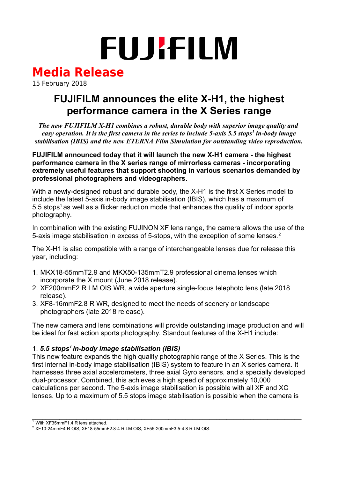# **FUJIFILM**

## **Media Release**

15 February 2018

### **FUJIFILM announces the elite X-H1, the highest performance camera in the X Series range**

*The new FUJIFILM X-H1 combines a robust, durable body with superior image quality and easy operation. It is the first camera in the series to include 5-axis 5.5 stops<sup>1</sup> in-body image stabilisation (IBIS) and the new ETERNA Film Simulation for outstanding video reproduction.*

**FUJIFILM announced today that it will launch the new X-H1 camera - the highest performance camera in the X series range of mirrorless cameras - incorporating extremely useful features that support shooting in various scenarios demanded by professional photographers and videographers.** 

With a newly-designed robust and durable body, the X-H1 is the first X Series model to include the latest 5-axis in-body image stabilisation (IBIS), which has a maximum of  $5.5$  stops<sup>1</sup> as well as a flicker reduction mode that enhances the quality of indoor sports photography.

In combination with the existing FUJINON XF lens range, the camera allows the use of the 5-axis image stabilisation in excess of 5-stops, with the exception of some lenses.<sup>2</sup>

The X-H1 is also compatible with a range of interchangeable lenses due for release this year, including:

- 1. MKX18-55mmT2.9 and MKX50-135mmT2.9 professional cinema lenses which incorporate the X mount (June 2018 release).
- 2. XF200mmF2 R LM OIS WR, a wide aperture single-focus telephoto lens (late 2018 release).
- 3. XF8-16mmF2.8 R WR, designed to meet the needs of scenery or landscape photographers (late 2018 release).

The new camera and lens combinations will provide outstanding image production and will be ideal for fast action sports photography. Standout features of the X-H1 include:

#### 1. *5.5 stops<sup>1</sup>in-body image stabilisation (IBIS)*

This new feature expands the high quality photographic range of the X Series. This is the first internal in-body image stabilisation (IBIS) system to feature in an X series camera. It harnesses three axial accelerometers, three axial Gyro sensors, and a specially developed dual-processor. Combined, this achieves a high speed of approximately 10,000 calculations per second. The 5-axis image stabilisation is possible with all XF and XC lenses. Up to a maximum of 5.5 stops image stabilisation is possible when the camera is

 $\_$  , and the set of the set of the set of the set of the set of the set of the set of the set of the set of the set of the set of the set of the set of the set of the set of the set of the set of the set of the set of th

 $1.$  With XF35mmF1.4 R lens attached.

<sup>2</sup> XF10-24mmF4 R OIS, XF18-55mmF2.8-4 R LM OIS, XF55-200mmF3.5-4.8 R LM OIS.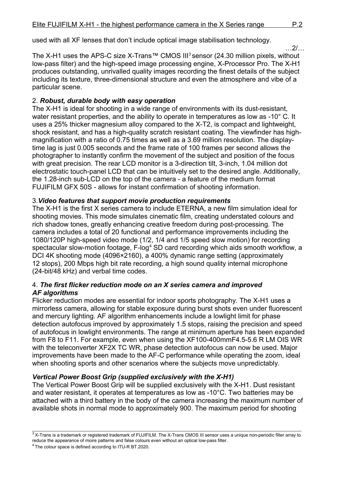used with all XF lenses that don't include optical image stabilisation technology.

 $2/$ 

The X-H1 uses the APS-C size X-Trans™ CMOS III<sup>3</sup> sensor (24.30 million pixels, without low-pass filter) and the high-speed image processing engine, X-Processor Pro. The X-H1 produces outstanding, unrivalled quality images recording the finest details of the subject including its texture, three-dimensional structure and even the atmosphere and vibe of a particular scene.

#### 2. *Robust, durable body with easy operation*

The X-H1 is ideal for shooting in a wide range of environments with its dust-resistant, water resistant properties, and the ability to operate in temperatures as low as -10° C. It uses a 25% thicker magnesium alloy compared to the X-T2, is compact and lightweight, shock resistant, and has a high-quality scratch resistant coating. The viewfinder has highmagnification with a ratio of 0.75 times as well as a 3.69 million resolution. The displaytime lag is just 0.005 seconds and the frame rate of 100 frames per second allows the photographer to instantly confirm the movement of the subject and position of the focus with great precision. The rear LCD monitor is a 3-direction tilt, 3-inch, 1.04 million dot electrostatic touch-panel LCD that can be intuitively set to the desired angle. Additionally, the 1.28-inch sub-LCD on the top of the camera - a feature of the medium format FUJIFILM GFX 50S - allows for instant confirmation of shooting information.

#### 3.*Video features that support movie production requirements*

The X-H1 is the first X series camera to include ETERNA, a new film simulation ideal for shooting movies. This mode simulates cinematic film, creating understated colours and rich shadow tones, greatly enhancing creative freedom during post-processing. The camera includes a total of 20 functional and performance improvements including the 1080/120P high-speed video mode (1/2, 1/4 and 1/5 speed slow motion) for recording spectacular slow-motion footage, F-log<sup>4</sup> SD card recording which aids smooth workflow, a DCI 4K shooting mode (4096×2160), a 400% dynamic range setting (approximately 12 stops), 200 Mbps high bit rate recording, a high sound quality internal microphone (24-bit/48 kHz) and verbal time codes.

#### 4. *The first flicker reduction mode on an X series camera and improved AF algorithms*

Flicker reduction modes are essential for indoor sports photography. The X-H1 uses a mirrorless camera, allowing for stable exposure during burst shots even under fluorescent and mercury lighting. AF algorithm enhancements include a lowlight limit for phase detection autofocus improved by approximately 1.5 stops, raising the precision and speed of autofocus in lowlight environments. The range at minimum aperture has been expanded from F8 to F11. For example, even when using the XF100-400mmF4.5-5.6 R LM OIS WR with the teleconverter XF2X TC WR, phase detection autofocus can now be used. Major improvements have been made to the AF-C performance while operating the zoom, ideal when shooting sports and other scenarios where the subjects move unpredictably.

#### *Vertical Power Boost Grip (supplied exclusively with the X-H1)*

The Vertical Power Boost Grip will be supplied exclusively with the X-H1. Dust resistant and water resistant, it operates at temperatures as low as -10°C. Two batteries may be attached with a third battery in the body of the camera increasing the maximum number of available shots in normal mode to approximately 900. The maximum period for shooting

 $3$ X-Trans is a trademark or registered trademark of FUJIFILM. The X-Trans CMOS III sensor uses a unique non-periodic filter array to reduce the appearance of moire patterns and false colours even without an optical low-pass filter.

<sup>&</sup>lt;sup>4</sup> The colour space is defined according to ITU-R BT.2020.